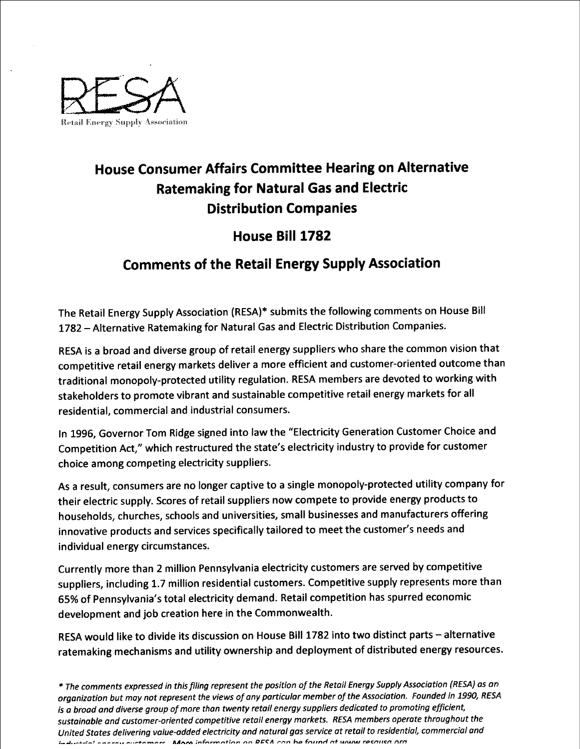

## House Consumer Affairs Committee Hearing on Alternative Ratemaking for Natural Gas and Electric Distribution Companies

## House Bill 1782

## Comments of the Retail Energy Supply Association

The Retail Energy Supply Association (RESA)\* submits the following comments on House Bill 1782 - Alternative Ratemaking for Natural Gas and Electric Distribution Companies.

RESA is a broad and diverse group of retail energy suppliers who share the common vision that competitive retail energy markets deliver a more efficient and customer-oriented outcome than traditional monopoly-protected utility regulation. RESA members are devoted to working with stakeholders to promote vibrant and sustainable competitive retail energy markets for all residential, commercial and industrial consumers.

In 1996, Governor Tom Ridge signed into law the "Electricity Generation Customer Choice and Competition Act," which restructured the state's electricity industry to provide for customer choice among competing electricity suppliers.

As a result, consumers are no longer captive to a single monopoly-protected utility company for their electric supply. Scores of retail suppliers now compete to provide energy products to households, churches, schools and universities, small businesses and manufacturers offering innovative products and services specifically tailored to meet the customer's needs and individual energy circumstances.

Currently more than 2 million Pennsylvania electricity customers are served by competitive suppliers, including 1.7 million residential customers. Competitive supply represents more than 65% of Pennsylvania's total electricity demand. Retailcompetition has spurred economic development and job creation here in the Commonwealth.

RESA would like to divide its discussion on House Bill 1782 into two distinct parts - alternative ratemaking mechanisms and utility ownership and deployment of distributed energy resources

+ The comments expressed in thisfiling represent the position of the Retail Energy SupplyAssociation(REBA) as an organization but may not represent the views of any particular member of the Association. Founded in 1990, REBA is a broad and diverse group of more than twenty retail energy suppliers dedicated to promoting efficient, sustainable and customer-oriented competitive retail energy markets. RESA members operate throughout the United States delivering value-added electricity and natural gas service at retail to residential, commercial and inductively anaray outformare. Adors information on RFCA can be found at www.recausa ora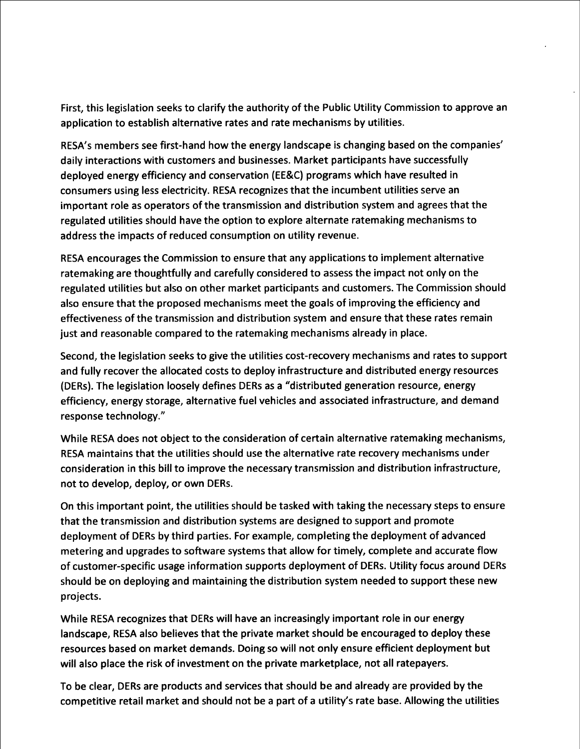First, this legislation seeks to clarify the authority of the Public Utility Commission to approve an application to establish alternative rates and rate mechanisms by utilities.

RESA's members see first-hand how the energy landscape is changing based on the companies' daily interactions with customers and businesses. Market participants have successfully deployed energy efficiency and conservation (EE&C) programs which have resulted in consumers using less electricity. RESA recognizes that the incumbent utilities serve an important role as operators of the transmission and distribution system and agrees that the regulated utilities should have the option to explore alternate ratemaking mechanisms to address the impacts of reduced consumption on utility revenue.

RESA encourages the Commission to ensure that any applications to implement alternative ratemaking are thoughtfully and carefully considered to assess the impact not only on the regulated utilities but also on other market participants and customers. The Commission should also ensure that the proposed mechanisms meet the goals of improving the efficiency and effectiveness of the transmission and distribution system and ensure that these rates remain just and reasonable compared to the ratemaking mechanisms already in place.

Second, the legislation seeks to give the utilities cost-recovery mechanisms and rates to support and fully recover the allocated costs to deploy infrastructure and distributed energy resources (DERs). The legislation loosely defines DERs as a "distributed generation resource, energy efficiency, energy storage, alternative fuel vehicles and associated infrastructure, and demand response technology."

While RESA does not object to the consideration of certain alternative ratemaking mechanisms, RESA maintains that the utilities should use the alternative rate recovery mechanisms under consideration in this bill to improve the necessary transmission and distribution infrastructure, not to develop, deploy, or own DERs.

On this important point, the utilities should be tasked with taking the necessary steps to ensure that the transmission and distribution systems are designed to support and promote deployment of DERs by third parties. For example, completing the deployment of advanced metering and upgrades to software systems that allow for timely, complete and accurate flow of customer-specific usage information supports deployment of DERs. Utility focus around DERs should be on deploying and maintaining the distribution system needed to support these new projects

While RESA recognizes that DERs will have an increasingly important role in our energy landscape, RESA also believes that the private market should be encouraged to deploy these resources based on market demands. Doing so will not only ensure efficient deployment but will also place the risk of investment on the private marketplace, not all ratepayers.

To be clear, DERs are products and services that should be and already are provided by the competitive retail market and should not be a part of a utility's rate base. Allowing the utilities